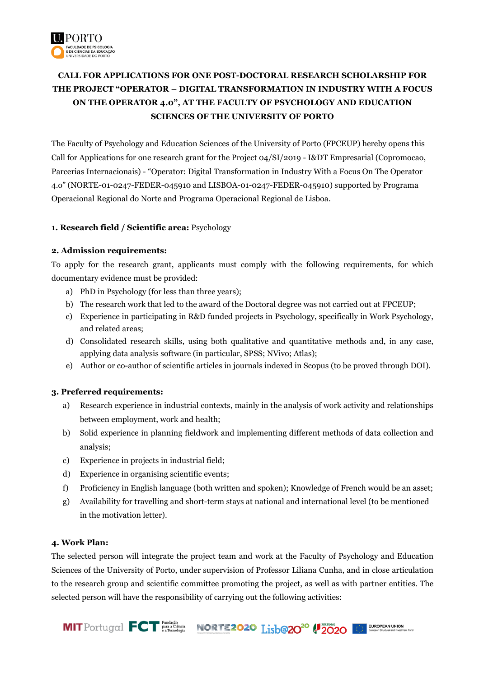

# **CALL FOR APPLICATIONS FOR ONE POST-DOCTORAL RESEARCH SCHOLARSHIP FOR THE PROJECT "OPERATOR – DIGITAL TRANSFORMATION IN INDUSTRY WITH A FOCUS ON THE OPERATOR 4.0", AT THE FACULTY OF PSYCHOLOGY AND EDUCATION SCIENCES OF THE UNIVERSITY OF PORTO**

The Faculty of Psychology and Education Sciences of the University of Porto (FPCEUP) hereby opens this Call for Applications for one research grant for the Project 04/SI/2019 - I&DT Empresarial (Copromocao, Parcerias Internacionais) - "Operator: Digital Transformation in Industry With a Focus On The Operator 4.o" (NORTE-01-0247-FEDER-045910 and LISBOA-01-0247-FEDER-045910) supported by Programa Operacional Regional do Norte and Programa Operacional Regional de Lisboa.

## **1. Research field / Scientific area:** Psychology

## **2. Admission requirements:**

To apply for the research grant, applicants must comply with the following requirements, for which documentary evidence must be provided:

- a) PhD in Psychology (for less than three years);
- b) The research work that led to the award of the Doctoral degree was not carried out at FPCEUP;
- c) Experience in participating in R&D funded projects in Psychology, specifically in Work Psychology, and related areas;
- d) Consolidated research skills, using both qualitative and quantitative methods and, in any case, applying data analysis software (in particular, SPSS; NVivo; Atlas);
- e) Author or co-author of scientific articles in journals indexed in Scopus (to be proved through DOI).

#### **3. Preferred requirements:**

- a) Research experience in industrial contexts, mainly in the analysis of work activity and relationships between employment, work and health;
- b) Solid experience in planning fieldwork and implementing different methods of data collection and analysis;
- c) Experience in projects in industrial field;
- d) Experience in organising scientific events;
- f) Proficiency in English language (both written and spoken); Knowledge of French would be an asset;
- g) Availability for travelling and short-term stays at national and international level (to be mentioned in the motivation letter).

#### **4. Work Plan:**

The selected person will integrate the project team and work at the Faculty of Psychology and Education Sciences of the University of Porto, under supervision of Professor Liliana Cunha, and in close articulation to the research group and scientific committee promoting the project, as well as with partner entities. The selected person will have the responsibility of carrying out the following activities:

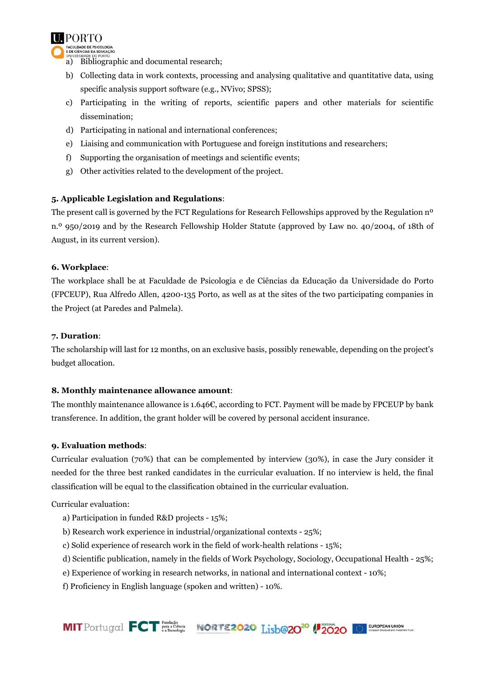

- a) Bibliographic and documental research;
- b) Collecting data in work contexts, processing and analysing qualitative and quantitative data, using specific analysis support software (e.g., NVivo; SPSS);
- c) Participating in the writing of reports, scientific papers and other materials for scientific dissemination;
- d) Participating in national and international conferences;
- e) Liaising and communication with Portuguese and foreign institutions and researchers;
- f) Supporting the organisation of meetings and scientific events;
- g) Other activities related to the development of the project.

## **5. Applicable Legislation and Regulations**:

The present call is governed by the FCT Regulations for Research Fellowships approved by the Regulation n<sup>o</sup> n.º 950/2019 and by the Research Fellowship Holder Statute (approved by Law no. 40/2004, of 18th of August, in its current version).

#### **6. Workplace**:

The workplace shall be at Faculdade de Psicologia e de Ciências da Educação da Universidade do Porto (FPCEUP), Rua Alfredo Allen, 4200-135 Porto, as well as at the sites of the two participating companies in the Project (at Paredes and Palmela).

#### **7. Duration**:

The scholarship will last for 12 months, on an exclusive basis, possibly renewable, depending on the project's budget allocation.

#### **8. Monthly maintenance allowance amount**:

The monthly maintenance allowance is 1.646€, according to FCT. Payment will be made by FPCEUP by bank transference. In addition, the grant holder will be covered by personal accident insurance.

#### **9. Evaluation methods**:

Curricular evaluation (70%) that can be complemented by interview (30%), in case the Jury consider it needed for the three best ranked candidates in the curricular evaluation. If no interview is held, the final classification will be equal to the classification obtained in the curricular evaluation.

Curricular evaluation:

- a) Participation in funded R&D projects 15%;
- b) Research work experience in industrial/organizational contexts 25%;
- c) Solid experience of research work in the field of work-health relations 15%;
- d) Scientific publication, namely in the fields of Work Psychology, Sociology, Occupational Health 25%;
- e) Experience of working in research networks, in national and international context 10%;
- f) Proficiency in English language (spoken and written) 10%.

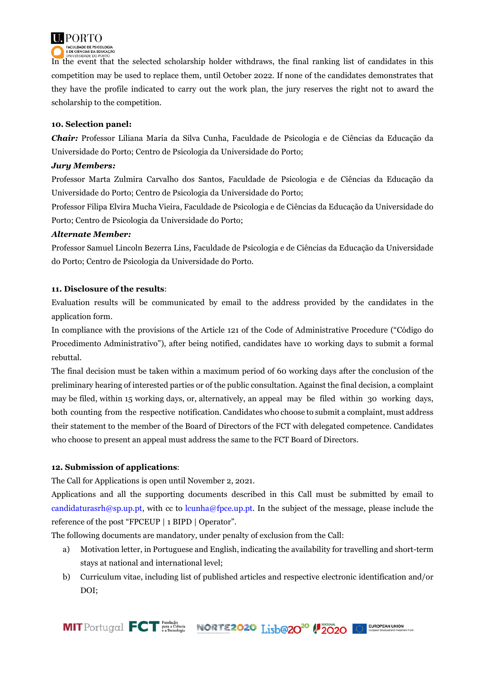

In the event that the selected scholarship holder withdraws, the final ranking list of candidates in this competition may be used to replace them, until October 2022. If none of the candidates demonstrates that they have the profile indicated to carry out the work plan, the jury reserves the right not to award the scholarship to the competition.

## **10. Selection panel:**

*Chair:* Professor Liliana Maria da Silva Cunha, Faculdade de Psicologia e de Ciências da Educação da Universidade do Porto; Centro de Psicologia da Universidade do Porto;

#### *Jury Members:*

Professor Marta Zulmira Carvalho dos Santos, Faculdade de Psicologia e de Ciências da Educação da Universidade do Porto; Centro de Psicologia da Universidade do Porto;

Professor Filipa Elvira Mucha Vieira, Faculdade de Psicologia e de Ciências da Educação da Universidade do Porto; Centro de Psicologia da Universidade do Porto;

## *Alternate Member:*

Professor Samuel Lincoln Bezerra Lins, Faculdade de Psicologia e de Ciências da Educação da Universidade do Porto; Centro de Psicologia da Universidade do Porto.

## **11. Disclosure of the results**:

Evaluation results will be communicated by email to the address provided by the candidates in the application form.

In compliance with the provisions of the Article 121 of the Code of Administrative Procedure ("Código do Procedimento Administrativo"), after being notified, candidates have 10 working days to submit a formal rebuttal.

The final decision must be taken within a maximum period of 60 working days after the conclusion of the preliminary hearing of interested parties or of the public consultation. Against the final decision, a complaint may be filed, within 15 working days, or, alternatively, an appeal may be filed within 30 working days, both counting from the respective notification. Candidates who choose to submit a complaint, must address their statement to the member of the Board of Directors of the FCT with delegated competence. Candidates who choose to present an appeal must address the same to the FCT Board of Directors.

#### **12. Submission of applications**:

The Call for Applications is open until November 2, 2021.

Applications and all the supporting documents described in this Call must be submitted by email to [candidaturasrh@sp.up.pt,](mailto:candidaturasrh@sp.up.pt) with cc to lcunha@fpce.up.pt. In the subject of the message, please include the reference of the post "FPCEUP | 1 BIPD | Operator".

The following documents are mandatory, under penalty of exclusion from the Call:

- a) Motivation letter, in Portuguese and English, indicating the availability for travelling and short-term stays at national and international level;
- b) Curriculum vitae, including list of published articles and respective electronic identification and/or DOI;